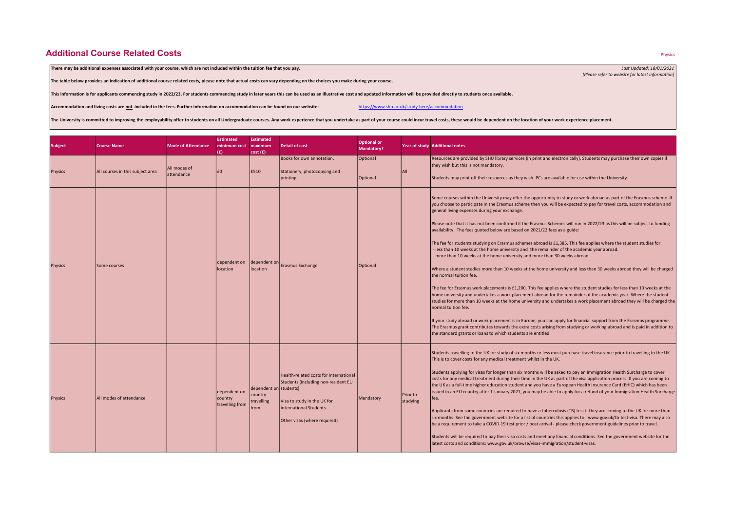## **Additional Course Related Costs**

There may be additional expenses associated with your course, which are not included within the tuition fee that you pay. Last Updated: 18/01/2021

The table below provides an indication of additional course related costs, please note that actual costs can vary depending on the choices you make during your course.

This information is for applicants commencing study in 2022/23. For students commencing study in later years this can be used as an illustrative cost and updated information will be provided directly to students once avail

Accommodation and living costs are not included in the fees. Further information on accommodation can be found on our website: https://www.shu.ac.uk/study-here/accommodation

The University is committed to improving the employability offer to students on all Undergraduate courses. Any work experience that you undertake as part of your course could incur travel costs, these would be dependent on

| <b>Subject</b> | <b>Course Name</b>               | <b>Mode of Attendance</b>  | <b>Estimated</b><br>minimum cost maximum<br>(£) | <b>Estimated</b><br>cost(f)                             | <b>Detail of cost</b>                                                                                                                                                  | <b>Optional or</b><br><b>Mandatory?</b> |                             | Year of study Additional notes                                                                                                                                                                                                                                                                                                                                                                                                                                                                                                                                                                                                                                                                                                                                                                                                                                                                                                                                                                                                                                                                                                                                                                                                                                                                                                                                                                                                                                                                                                                                                                                                                                               |
|----------------|----------------------------------|----------------------------|-------------------------------------------------|---------------------------------------------------------|------------------------------------------------------------------------------------------------------------------------------------------------------------------------|-----------------------------------------|-----------------------------|------------------------------------------------------------------------------------------------------------------------------------------------------------------------------------------------------------------------------------------------------------------------------------------------------------------------------------------------------------------------------------------------------------------------------------------------------------------------------------------------------------------------------------------------------------------------------------------------------------------------------------------------------------------------------------------------------------------------------------------------------------------------------------------------------------------------------------------------------------------------------------------------------------------------------------------------------------------------------------------------------------------------------------------------------------------------------------------------------------------------------------------------------------------------------------------------------------------------------------------------------------------------------------------------------------------------------------------------------------------------------------------------------------------------------------------------------------------------------------------------------------------------------------------------------------------------------------------------------------------------------------------------------------------------------|
| <b>Physics</b> | All courses in this subject area | All modes of<br>attendance | £0                                              | E510                                                    | Books for own annotation.<br>Stationery, photocopying and<br>printing.                                                                                                 | Optional<br><b>Optional</b>             | All                         | Resources are provided by SHU library services (in print and electronically). Students may purchase their own copies if<br>they wish but this is not mandatory.<br>Students may print off their resources as they wish. PCs are available for use within the University.                                                                                                                                                                                                                                                                                                                                                                                                                                                                                                                                                                                                                                                                                                                                                                                                                                                                                                                                                                                                                                                                                                                                                                                                                                                                                                                                                                                                     |
| <b>Physics</b> | Some courses                     |                            | dependent on<br>location                        | location                                                | dependent on Erasmus Exchange                                                                                                                                          | <b>Optional</b>                         |                             | Some courses within the University may offer the opportunity to study or work abroad as part of the Erasmus scheme. If<br>you choose to participate in the Erasmus scheme then you will be expected to pay for travel costs, accommodation and<br>general living expenses during your exchange.<br>Please note that it has not been confirmed if the Erasmus Schemes will run in 2022/23 as this will be subject to funding<br>availability. The fees quoted below are based on 2021/22 fees as a guide:<br>The fee for students studying on Erasmus schemes abroad is £1,385. This fee applies where the student studies for:<br>less than 10 weeks at the home university and the remainder of the academic year abroad.<br>more than 10 weeks at the home university and more than 30 weeks abroad.<br>Where a student studies more than 10 weeks at the home university and less than 30 weeks abroad they will be charged<br>the normal tuition fee.<br>The fee for Erasmus work placements is £1,200. This fee applies where the student studies for less than 10 weeks at the<br>home university and undertakes a work placement abroad for the remainder of the academic year. Where the student<br>studies for more than 10 weeks at the home university and undertakes a work placement abroad they will be charged the<br>normal tuition fee.<br>If your study abroad or work placement is in Europe, you can apply for financial support from the Erasmus programme.<br>The Erasmus grant contributes towards the extra costs arising from studying or working abroad and is paid in addition to<br>the standard grants or loans to which students are entitled. |
| <b>Physics</b> | <b>JAIJ</b> modes of attendance  |                            | dependent on<br>country<br>travelling from      | dependent on students)<br>country<br>travelling<br>from | Health-related costs for International<br>Students (including non-resident EU<br>Visa to study in the UK for<br>International Students<br>Other visas (where required) | Mandatory                               | <b>Prior to</b><br>studying | Students travelling to the UK for study of six months or less must purchase travel insurance prior to travelling to the UK.<br>This is to cover costs for any medical treatment whilst in the UK.<br>Students applying for visas for longer than six months will be asked to pay an Immigration Health Surcharge to cover<br>costs for any medical treatment during their time in the UK as part of the visa application process. If you are coming to<br>the UK as a full-time higher education student and you have a European Health Insurance Card (EHIC) which has been<br>issued in an EU country after 1 January 2021, you may be able to apply for a refund of your Immigration Health Surcharge<br>fee.<br>Applicants from some countries are required to have a tuberculosis (TB) test if they are coming to the UK for more than<br>six months. See the government website for a list of countries this applies to: www.gov.uk/tb-test-visa. There may also<br>be a requirement to take a COVID-19 test prior / post arrival - please check government guidelines prior to travel.<br>Students will be required to pay their visa costs and meet any financial conditions. See the government website for the<br>latest costs and conditions: www.gov.uk/browse/visas-immigration/student-visas.                                                                                                                                                                                                                                                                                                                                                                  |

[Please refer to website for latest information]